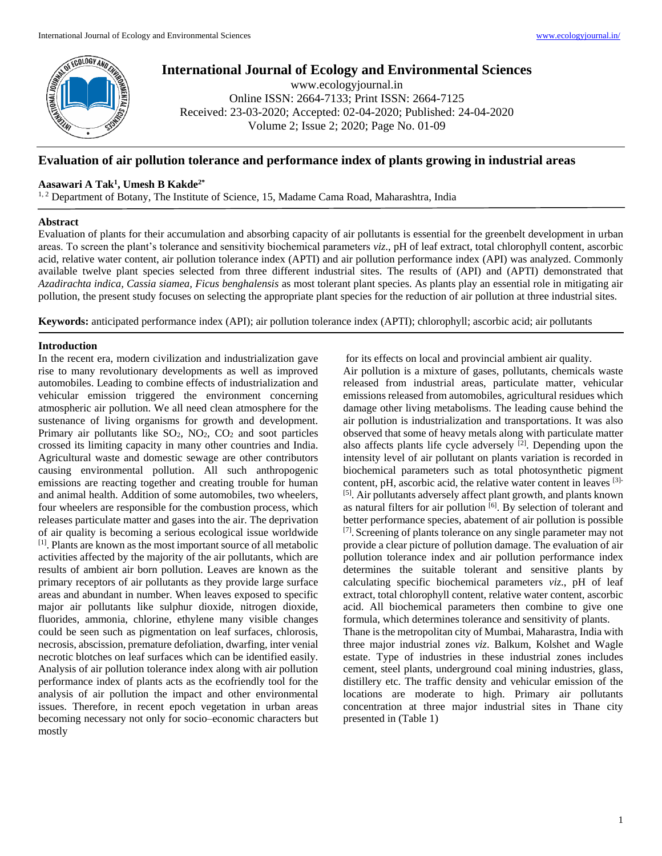

# **International Journal of Ecology and Environmental Sciences**

www.ecologyjournal.in Online ISSN: 2664-7133; Print ISSN: 2664-7125 Received: 23-03-2020; Accepted: 02-04-2020; Published: 24-04-2020 Volume 2; Issue 2; 2020; Page No. 01-09

## **Evaluation of air pollution tolerance and performance index of plants growing in industrial areas**

## **Aasawari A Tak<sup>1</sup> , Umesh B Kakde2\***

<sup>1,2</sup> Department of Botany, The Institute of Science, 15, Madame Cama Road, Maharashtra, India

## **Abstract**

Evaluation of plants for their accumulation and absorbing capacity of air pollutants is essential for the greenbelt development in urban areas. To screen the plant's tolerance and sensitivity biochemical parameters *viz*., pH of leaf extract, total chlorophyll content, ascorbic acid, relative water content, air pollution tolerance index (APTI) and air pollution performance index (API) was analyzed. Commonly available twelve plant species selected from three different industrial sites. The results of (API) and (APTI) demonstrated that *Azadirachta indica, Cassia siamea, Ficus benghalensis* as most tolerant plant species. As plants play an essential role in mitigating air pollution, the present study focuses on selecting the appropriate plant species for the reduction of air pollution at three industrial sites.

**Keywords:** anticipated performance index (API); air pollution tolerance index (APTI); chlorophyll; ascorbic acid; air pollutants

## **Introduction**

In the recent era, modern civilization and industrialization gave rise to many revolutionary developments as well as improved automobiles. Leading to combine effects of industrialization and vehicular emission triggered the environment concerning atmospheric air pollution. We all need clean atmosphere for the sustenance of living organisms for growth and development. Primary air pollutants like  $SO_2$ ,  $NO_2$ ,  $CO_2$  and soot particles crossed its limiting capacity in many other countries and India. Agricultural waste and domestic sewage are other contributors causing environmental pollution. All such anthropogenic emissions are reacting together and creating trouble for human and animal health. Addition of some automobiles, two wheelers, four wheelers are responsible for the combustion process, which releases particulate matter and gases into the air. The deprivation of air quality is becoming a serious ecological issue worldwide [1]. Plants are known as the most important source of all metabolic activities affected by the majority of the air pollutants, which are results of ambient air born pollution. Leaves are known as the primary receptors of air pollutants as they provide large surface areas and abundant in number. When leaves exposed to specific major air pollutants like sulphur dioxide, nitrogen dioxide, fluorides, ammonia, chlorine, ethylene many visible changes could be seen such as pigmentation on leaf surfaces, chlorosis, necrosis, abscission, premature defoliation, dwarfing, inter venial necrotic blotches on leaf surfaces which can be identified easily. Analysis of air pollution tolerance index along with air pollution performance index of plants acts as the ecofriendly tool for the analysis of air pollution the impact and other environmental issues. Therefore, in recent epoch vegetation in urban areas becoming necessary not only for socio–economic characters but mostly

for its effects on local and provincial ambient air quality.

Air pollution is a mixture of gases, pollutants, chemicals waste released from industrial areas, particulate matter, vehicular emissions released from automobiles, agricultural residues which damage other living metabolisms. The leading cause behind the air pollution is industrialization and transportations. It was also observed that some of heavy metals along with particulate matter also affects plants life cycle adversely <sup>[2]</sup>. Depending upon the intensity level of air pollutant on plants variation is recorded in biochemical parameters such as total photosynthetic pigment content, pH, ascorbic acid, the relative water content in leaves [3]- [5]. Air pollutants adversely affect plant growth, and plants known as natural filters for air pollution [6]. By selection of tolerant and better performance species, abatement of air pollution is possible [7]. Screening of plants tolerance on any single parameter may not provide a clear picture of pollution damage. The evaluation of air pollution tolerance index and air pollution performance index determines the suitable tolerant and sensitive plants by calculating specific biochemical parameters *viz*., pH of leaf extract, total chlorophyll content, relative water content, ascorbic acid. All biochemical parameters then combine to give one formula, which determines tolerance and sensitivity of plants. Thane is the metropolitan city of Mumbai, Maharastra, India with

three major industrial zones *viz*. Balkum, Kolshet and Wagle estate. Type of industries in these industrial zones includes cement, steel plants, underground coal mining industries, glass, distillery etc. The traffic density and vehicular emission of the locations are moderate to high. Primary air pollutants concentration at three major industrial sites in Thane city presented in (Table 1)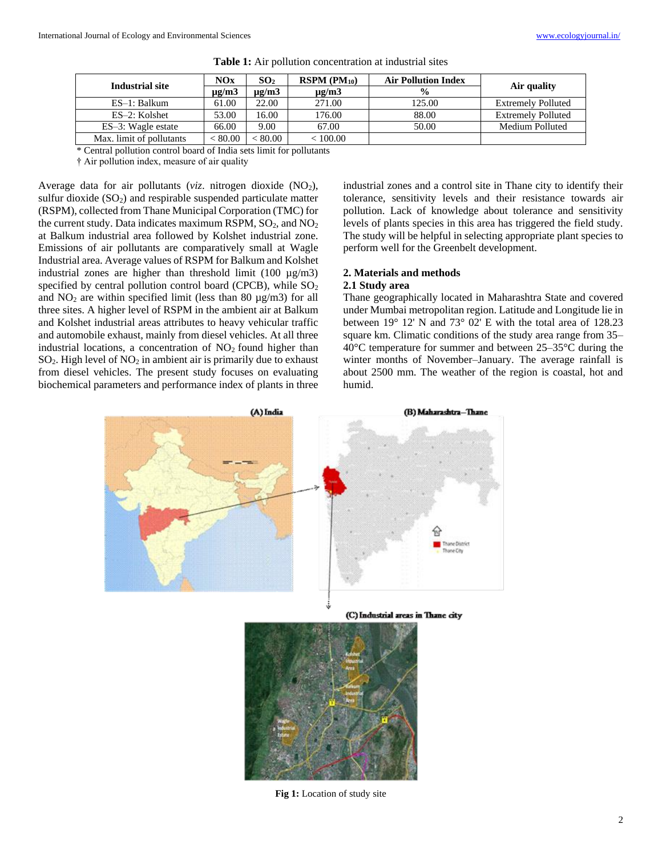| Industrial site          | NOx           | SO <sub>2</sub> | $RSPM (PM_{10})$ | <b>Air Pollution Index</b> |                           |
|--------------------------|---------------|-----------------|------------------|----------------------------|---------------------------|
|                          | $\mu$ g/m $3$ | ug/m3           | $\mu$ g/m $3$    | $\frac{6}{9}$              | Air quality               |
| ES-1: Balkum             | 61.00         | 22.00           | 271.00           | 125.00                     | <b>Extremely Polluted</b> |
| ES-2: Kolshet            | 53.00         | 16.00           | 176.00           | 88.00                      | <b>Extremely Polluted</b> |
| ES-3: Wagle estate       | 66.00         | 9.00            | 67.00            | 50.00                      | Medium Polluted           |
| Max. limit of pollutants | ${}< 80.00$   | < 80.00         | < 100.00         |                            |                           |

| <b>Table 1:</b> Air pollution concentration at industrial sites |
|-----------------------------------------------------------------|
|-----------------------------------------------------------------|

\* Central pollution control board of India sets limit for pollutants

† Air pollution index, measure of air quality

Average data for air pollutants (*viz.* nitrogen dioxide (NO<sub>2</sub>), sulfur dioxide  $(SO<sub>2</sub>)$  and respirable suspended particulate matter (RSPM), collected from Thane Municipal Corporation (TMC) for the current study. Data indicates maximum RSPM,  $SO_2$ , and  $NO_2$ at Balkum industrial area followed by Kolshet industrial zone. Emissions of air pollutants are comparatively small at Wagle Industrial area. Average values of RSPM for Balkum and Kolshet industrial zones are higher than threshold limit  $(100 \text{ µg/m3})$ specified by central pollution control board (CPCB), while  $SO<sub>2</sub>$ and  $NO<sub>2</sub>$  are within specified limit (less than 80  $\mu$ g/m3) for all three sites. A higher level of RSPM in the ambient air at Balkum and Kolshet industrial areas attributes to heavy vehicular traffic and automobile exhaust, mainly from diesel vehicles. At all three industrial locations, a concentration of  $NO<sub>2</sub>$  found higher than  $SO<sub>2</sub>$ . High level of  $NO<sub>2</sub>$  in ambient air is primarily due to exhaust from diesel vehicles. The present study focuses on evaluating biochemical parameters and performance index of plants in three

industrial zones and a control site in Thane city to identify their tolerance, sensitivity levels and their resistance towards air pollution. Lack of knowledge about tolerance and sensitivity levels of plants species in this area has triggered the field study. The study will be helpful in selecting appropriate plant species to perform well for the Greenbelt development.

## **2. Materials and methods**

## **2.1 Study area**

Thane geographically located in Maharashtra State and covered under Mumbai metropolitan region. Latitude and Longitude lie in between 19° 12' N and 73° 02' E with the total area of 128.23 square km. Climatic conditions of the study area range from 35– 40°C temperature for summer and between 25–35°C during the winter months of November–January. The average rainfall is about 2500 mm. The weather of the region is coastal, hot and humid.





**Fig 1:** Location of study site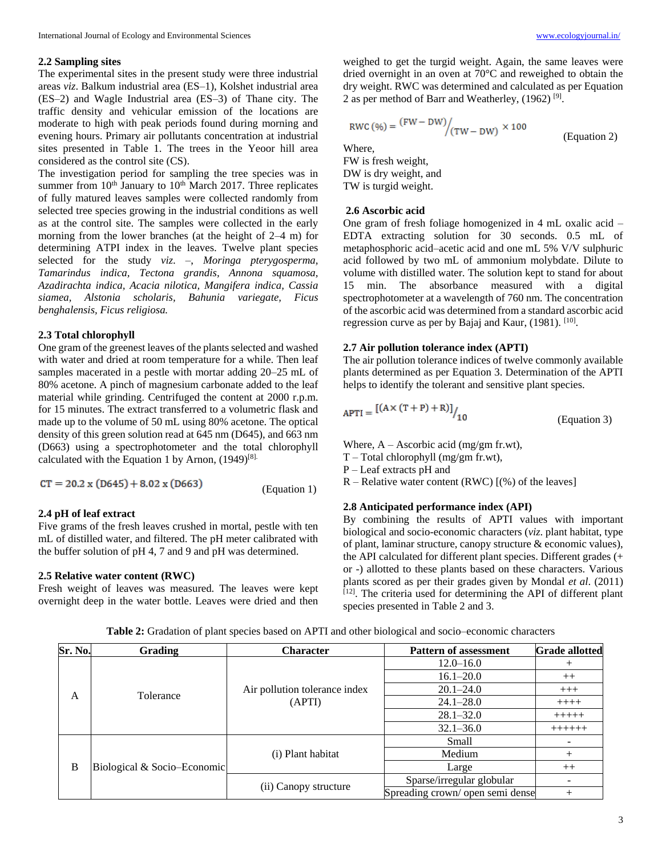#### **2.2 Sampling sites**

The experimental sites in the present study were three industrial areas *viz*. Balkum industrial area (ES–1), Kolshet industrial area (ES–2) and Wagle Industrial area (ES–3) of Thane city. The traffic density and vehicular emission of the locations are moderate to high with peak periods found during morning and evening hours. Primary air pollutants concentration at industrial sites presented in Table 1. The trees in the Yeoor hill area considered as the control site (CS).

The investigation period for sampling the tree species was in summer from  $10<sup>th</sup>$  January to  $10<sup>th</sup>$  March 2017. Three replicates of fully matured leaves samples were collected randomly from selected tree species growing in the industrial conditions as well as at the control site. The samples were collected in the early morning from the lower branches (at the height of 2–4 m) for determining ATPI index in the leaves. Twelve plant species selected for the study *viz*. –, *Moringa pterygosperma, Tamarindus indica, Tectona grandis, Annona squamosa, Azadirachta indica, Acacia nilotica, Mangifera indica, Cassia siamea, Alstonia scholaris, Bahunia variegate, Ficus benghalensis, Ficus religiosa.*

## **2.3 Total chlorophyll**

One gram of the greenest leaves of the plants selected and washed with water and dried at room temperature for a while. Then leaf samples macerated in a pestle with mortar adding 20–25 mL of 80% acetone. A pinch of magnesium carbonate added to the leaf material while grinding. Centrifuged the content at 2000 r.p.m. for 15 minutes. The extract transferred to a volumetric flask and made up to the volume of 50 mL using 80% acetone. The optical density of this green solution read at 645 nm (D645), and 663 nm (D663) using a spectrophotometer and the total chlorophyll calculated with the Equation 1 by Arnon,  $(1949)^{[8]}$ .

 $CT = 20.2 \times (D645) + 8.02 \times (D663)$ 

## **2.4 pH of leaf extract**

Five grams of the fresh leaves crushed in mortal, pestle with ten mL of distilled water, and filtered. The pH meter calibrated with the buffer solution of pH 4, 7 and 9 and pH was determined.

## **2.5 Relative water content (RWC)**

Fresh weight of leaves was measured. The leaves were kept overnight deep in the water bottle. Leaves were dried and then

weighed to get the turgid weight. Again, the same leaves were dried overnight in an oven at 70°C and reweighed to obtain the dry weight. RWC was determined and calculated as per Equation 2 as per method of Barr and Weatherley, (1962)<sup>[9]</sup>.

$$
RWC (\%) = \frac{(FW - DW)}{(TW - DW)} \times 100
$$
 (Equation 2)  
Where,

FW is fresh weight, DW is dry weight, and TW is turgid weight.

## **2.6 Ascorbic acid**

One gram of fresh foliage homogenized in 4 mL oxalic acid – EDTA extracting solution for 30 seconds. 0.5 mL of metaphosphoric acid–acetic acid and one mL 5% V/V sulphuric acid followed by two mL of ammonium molybdate. Dilute to volume with distilled water. The solution kept to stand for about 15 min. The absorbance measured with a digital spectrophotometer at a wavelength of 760 nm. The concentration of the ascorbic acid was determined from a standard ascorbic acid regression curve as per by Bajaj and Kaur, (1981). [10].

#### **2.7 Air pollution tolerance index (APTI)**

The air pollution tolerance indices of twelve commonly available plants determined as per Equation 3. Determination of the APTI helps to identify the tolerant and sensitive plant species.

$$
APTI = \frac{[(A \times (T + P) + R)]}{10}
$$
 (Equation 3)

Where,  $A - Ascorbic acid (mg/gm fr.wt)$ ,

- T Total chlorophyll (mg/gm fr.wt),
- P Leaf extracts pH and
- $R -$  Relative water content (RWC)  $[(\%)$  of the leaves]

## **2.8 Anticipated performance index (API)**

By combining the results of APTI values with important biological and socio-economic characters (*viz*. plant habitat, type of plant, laminar structure, canopy structure & economic values), the API calculated for different plant species. Different grades (+ or -) allotted to these plants based on these characters. Various plants scored as per their grades given by Mondal *et al*. (2011) [12]. The criteria used for determining the API of different plant species presented in Table 2 and 3.

**Sr. No. Grading Character Pattern of assessment Grade allotted** A Tolerance **Air pollution tolerance index** (APTI)  $12.0-16.0 +$  $16.1-20.0$   $++$  $20.1-24.0$  +++  $24.1 - 28.0$  ++++  $28.1 - 32.0$  +++++  $32.1 - 36.0$  +++++++ B Biological & Socio–Economic (i) Plant habitat Small  $\qquad$  -Medium + Large  $+$ (ii) Canopy structure Sparse/irregular globular -Spreading crown/ open semi dense

**Table 2:** Gradation of plant species based on APTI and other biological and socio–economic characters

(Equation 1)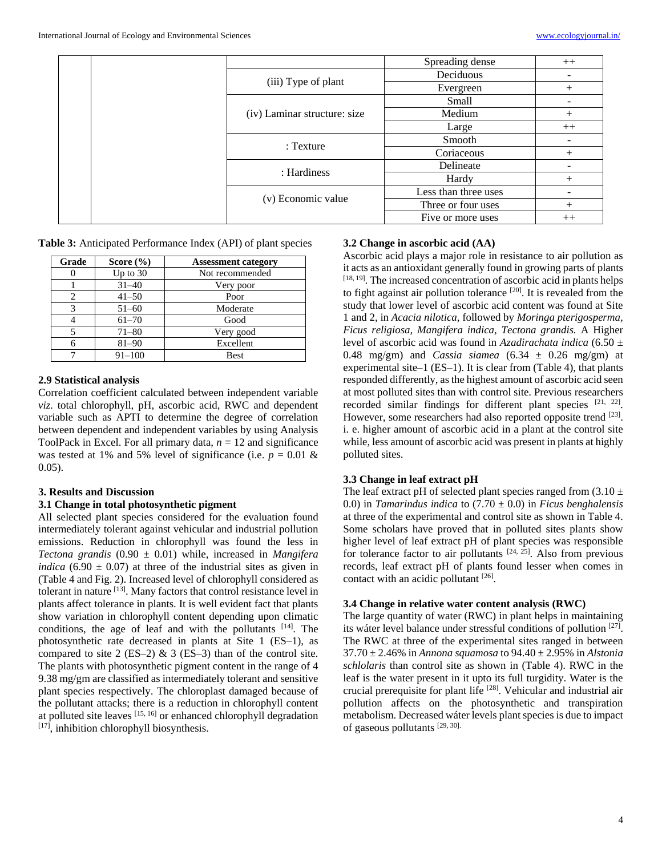|                              | Spreading dense      | $++$   |
|------------------------------|----------------------|--------|
|                              | Deciduous            |        |
| (iii) Type of plant          | Evergreen            |        |
|                              | Small                |        |
| (iv) Laminar structure: size | Medium               |        |
|                              | Large                | $++$   |
| : Texture                    | Smooth               |        |
|                              | Coriaceous           |        |
| : Hardiness                  | Delineate            |        |
|                              | Hardy                |        |
|                              | Less than three uses |        |
| (v) Economic value           | Three or four uses   | $^{+}$ |
|                              | Five or more uses    | $++$   |

**Table 3:** Anticipated Performance Index (API) of plant species

| Grade | Score $(\% )$ | <b>Assessment category</b> |
|-------|---------------|----------------------------|
|       | Up to $30$    | Not recommended            |
|       | $31 - 40$     | Very poor                  |
|       | $41 - 50$     | Poor                       |
| 3     | $51 - 60$     | Moderate                   |
|       | $61 - 70$     | Good                       |
|       | $71 - 80$     | Very good                  |
|       | $81 - 90$     | Excellent                  |
|       | $91 - 100$    | <b>Best</b>                |

## **2.9 Statistical analysis**

Correlation coefficient calculated between independent variable *viz*. total chlorophyll, pH, ascorbic acid, RWC and dependent variable such as APTI to determine the degree of correlation between dependent and independent variables by using Analysis ToolPack in Excel. For all primary data,  $n = 12$  and significance was tested at 1% and 5% level of significance (i.e.  $p = 0.01 \&$ 0.05).

#### **3. Results and Discussion**

## **3.1 Change in total photosynthetic pigment**

All selected plant species considered for the evaluation found intermediately tolerant against vehicular and industrial pollution emissions. Reduction in chlorophyll was found the less in *Tectona grandis* (0.90 ± 0.01) while, increased in *Mangifera indica*  $(6.90 \pm 0.07)$  at three of the industrial sites as given in (Table 4 and Fig. 2). Increased level of chlorophyll considered as tolerant in nature [13]. Many factors that control resistance level in plants affect tolerance in plants. It is well evident fact that plants show variation in chlorophyll content depending upon climatic conditions, the age of leaf and with the pollutants  $[14]$ . The photosynthetic rate decreased in plants at Site 1 (ES–1), as compared to site 2 (ES–2)  $\&$  3 (ES–3) than of the control site. The plants with photosynthetic pigment content in the range of 4 9.38 mg/gm are classified as intermediately tolerant and sensitive plant species respectively. The chloroplast damaged because of the pollutant attacks; there is a reduction in chlorophyll content at polluted site leaves [15, 16] or enhanced chlorophyll degradation  $[17]$ , inhibition chlorophyll biosynthesis.

## **3.2 Change in ascorbic acid (AA)**

Ascorbic acid plays a major role in resistance to air pollution as it acts as an antioxidant generally found in growing parts of plants  $[18, 19]$ . The increased concentration of ascorbic acid in plants helps to fight against air pollution tolerance [20]. It is revealed from the study that lower level of ascorbic acid content was found at Site 1 and 2, in *Acacia nilotica*, followed by *Moringa pterigosperma, Ficus religiosa, Mangifera indica, Tectona grandis.* A Higher level of ascorbic acid was found in *Azadirachata indica* (6.50 ± 0.48 mg/gm) and *Cassia siamea*  $(6.34 \pm 0.26 \text{ mg/gm})$  at experimental site–1 (ES–1). It is clear from (Table 4), that plants responded differently, as the highest amount of ascorbic acid seen at most polluted sites than with control site. Previous researchers recorded similar findings for different plant species [21, 22]. However, some researchers had also reported opposite trend [23]. i. e. higher amount of ascorbic acid in a plant at the control site while, less amount of ascorbic acid was present in plants at highly polluted sites.

#### **3.3 Change in leaf extract pH**

The leaf extract pH of selected plant species ranged from  $(3.10 \pm 1)$ 0.0) in *Tamarindus indica* to (7.70 ± 0.0) in *Ficus benghalensis* at three of the experimental and control site as shown in Table 4. Some scholars have proved that in polluted sites plants show higher level of leaf extract pH of plant species was responsible for tolerance factor to air pollutants  $[24, 25]$ . Also from previous records, leaf extract pH of plants found lesser when comes in contact with an acidic pollutant [26].

#### **3.4 Change in relative water content analysis (RWC)**

The large quantity of water (RWC) in plant helps in maintaining its wáter level balance under stressful conditions of pollution [27]. The RWC at three of the experimental sites ranged in between 37.70 ± 2.46% in *Annona squamosa* to 94.40 ± 2.95% in *Alstonia schlolaris* than control site as shown in (Table 4). RWC in the leaf is the water present in it upto its full turgidity. Water is the crucial prerequisite for plant life [28]. Vehicular and industrial air pollution affects on the photosynthetic and transpiration metabolism. Decreased wáter levels plant species is due to impact of gaseous pollutants  $[29, 30]$ .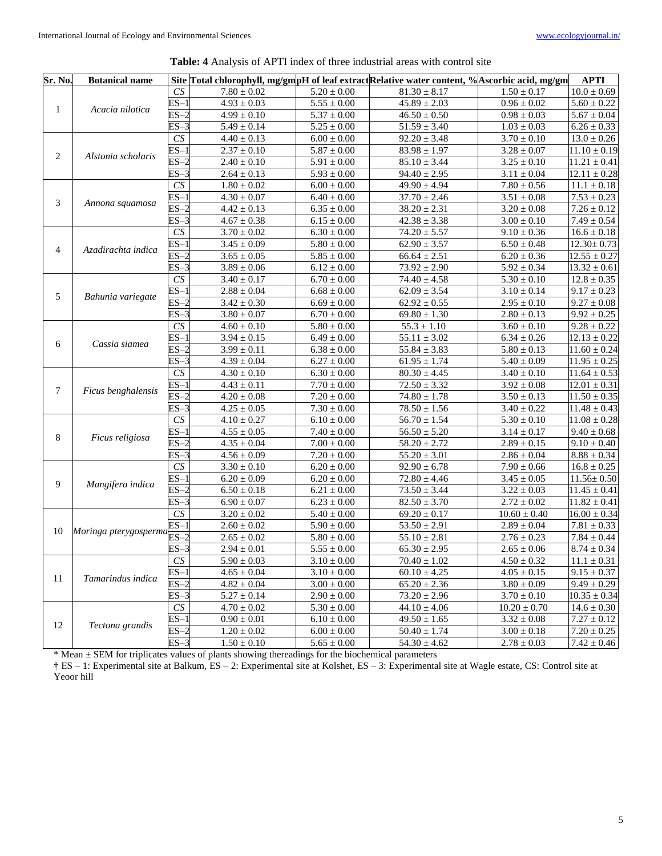| <b>Table: 4</b> Analysis of APTI index of three industrial areas with control site |  |  |
|------------------------------------------------------------------------------------|--|--|
|------------------------------------------------------------------------------------|--|--|

| Sr. No. | <b>Botanical name</b>               |                           |                            |                            | Site Total chlorophyll, mg/gmpH of leaf extractRelative water content, % Ascorbic acid, mg/gm |                 | <b>APTI</b>                 |
|---------|-------------------------------------|---------------------------|----------------------------|----------------------------|-----------------------------------------------------------------------------------------------|-----------------|-----------------------------|
|         |                                     | CS                        | $7.80 \pm 0.02$            | $5.20 \pm 0.00$            | $81.30 \pm 8.17$                                                                              | $1.50 \pm 0.17$ | $10.0 \pm 0.69$             |
|         |                                     | $ES-1$                    | $4.93 \pm 0.03$            | $\overline{5.55} \pm 0.00$ | $45.89 \pm 2.03$                                                                              | $0.96\pm0.02$   | $5.60 \pm 0.22$             |
| 1       | Acacia nilotica                     | $ES-2$                    | $4.99 \pm 0.10$            | $5.37\pm0.00$              | $46.50\pm0.50$                                                                                | $0.98 \pm 0.03$ | $5.67 \pm 0.04$             |
|         |                                     | $ES-3$                    | $5.49 \pm 0.14$            | $\overline{5.25} \pm 0.00$ | $51.59 \pm 3.40$                                                                              | $1.03 \pm 0.03$ | $6.26 \pm 0.33$             |
|         |                                     | CS                        | $4.40 \pm 0.13$            | $6.00\pm0.00$              | $92.20 \pm 3.48$                                                                              | $3.70\pm0.10$   | $13.0 \pm 0.26$             |
| 2       |                                     | $ES-1$                    | $2.37 \pm 0.10$            | $5.87\pm0.00$              | $83.98 \pm 1.97$                                                                              | $3.28 \pm 0.07$ | $11.10 \pm 0.19$            |
|         | Alstonia scholaris                  | $ES-2$                    | $2.40\pm0.10$              | $5.91\pm0.00$              | $85.10 \pm 3.44$                                                                              | $3.25\pm0.10$   | $11.21 \pm 0.41$            |
|         |                                     | $ES-3$                    | $2.64 \pm 0.13$            | $5.93\pm0.00$              | $94.40 \pm 2.95$                                                                              | $3.11 \pm 0.04$ | $12.11 \pm 0.28$            |
|         |                                     | CS                        | $1.80 \pm 0.02$            | $6.00\pm0.00$              | $\overline{49.90} \pm 4.94$                                                                   | $7.80\pm0.56$   | $11.1\pm0.18$               |
|         |                                     | $ES-1$                    | $4.30 \pm 0.07$            | $6.40\pm0.00$              | $37.70 \pm 2.46$                                                                              | $3.51 \pm 0.08$ | $7.53 \pm 0.23$             |
| 3       | Annona squamosa                     | $ES-2$                    | $4.42\pm0.13$              | $6.35\pm0.00$              | $38.20 \pm 2.31$                                                                              | $3.20\pm0.08$   | $7.26 \pm 0.12$             |
|         |                                     | ES-3                      | $4.67\pm0.38$              | $6.15\pm0.00$              | $42.38 \pm 3.38$                                                                              | $3.00 \pm 0.10$ | $7.49\pm0.54$               |
|         |                                     | $\overline{CS}$           | $3.70\pm0.02$              | $6.30\pm0.00$              | $74.20 \pm 5.57$                                                                              | $9.10\pm0.36$   | $16.6 \pm 0.18$             |
|         |                                     | $ES-1$                    | $3.45\pm0.09$              | $5.80\pm0.00$              | $62.90 \pm 3.57$                                                                              | $6.50\pm0.48$   | $12.30 \pm 0.73$            |
| 4       | Azadirachta indica                  | $ES-2$                    | $\overline{3.65} \pm 0.05$ | $5.85\pm0.00$              | $66.64 \pm 2.51$                                                                              | $6.20 \pm 0.36$ | $12.55 \pm 0.27$            |
|         |                                     | ES–3                      | $3.89\pm0.06$              | $6.12 \pm 0.00$            | $73.92 \pm 2.90$                                                                              | $5.92\pm0.34$   | $13.32 \pm 0.61$            |
|         |                                     | $\overline{CS}$           | $3.40 \pm 0.17$            | $6.70\pm0.00$              | $74.40\pm4.58$                                                                                | $5.30 \pm 0.10$ | $12.8\pm0.35$               |
|         |                                     | $ES-1$                    | $2.88 \pm 0.04$            | $6.68 \pm 0.00$            | $62.09 \pm 3.54$                                                                              | $3.10 \pm 0.14$ | $9.17 \pm 0.23$             |
| 5       | Bahunia variegate                   | $ES-2$                    | $3.42\pm0.30$              | $6.69\pm0.00$              | $62.92\pm0.55$                                                                                | $2.95 \pm 0.10$ | $\overline{9.27} \pm 0.08$  |
|         |                                     | $ES-3$                    | $3.80\pm0.07$              | $6.70 \pm 0.00$            | $69.80 \pm 1.30$                                                                              | $2.80\pm0.13$   | $9.92 \pm 0.25$             |
|         |                                     | CS                        | $4.60 \pm 0.10$            | $5.80\pm0.00$              | $55.3 \pm 1.10$                                                                               | $3.60\pm0.10$   | $9.28 \pm 0.22$             |
|         |                                     | $ES-1$                    | $3.94\pm0.15$              | $6.49 \pm 0.00$            | $55.11 \pm 3.02$                                                                              | $6.34 \pm 0.26$ | $12.13 \pm 0.22$            |
| 6       | Cassia siamea                       | $ES-2$                    | $3.99 \pm 0.11$            | $6.38\pm0.00$              | $55.84 \pm 3.83$                                                                              | $5.80 \pm 0.13$ | $11.60 \pm 0.24$            |
|         |                                     | $ES-3$                    | $4.39\pm0.04$              | $6.27 \pm 0.00$            | $61.95 \pm 1.74$                                                                              | $5.40 \pm 0.09$ | $\overline{11.95} \pm 0.25$ |
|         |                                     | CS                        | $4.30 \pm 0.10$            | $6.30\pm0.00$              | $80.30 \pm 4.45$                                                                              | $3.40 \pm 0.10$ | $11.64 \pm 0.53$            |
| 7       | Ficus benghalensis                  | $ES-1$                    | $4.43 \pm 0.11$            | $7.70\pm0.00$              | $72.50 \pm 3.32$                                                                              | $3.92\pm0.08$   | $12.01 \pm 0.31$            |
|         |                                     | $ES-2$                    | $4.20\pm0.08$              | $7.20\pm0.00$              | $74.80\pm1.78$                                                                                | $3.50 \pm 0.13$ | $11.50 \pm 0.35$            |
|         |                                     | $\overline{\text{ES}}$ –3 | $4.25\pm0.05$              | $7.30\pm0.00$              | $78.50 \pm 1.56$                                                                              | $3.40 \pm 0.22$ | $\overline{11.48} \pm 0.43$ |
|         |                                     | $\overline{CS}$           | $4.10 \pm 0.27$            | $6.10 \pm 0.00$            | $56.70 \pm 1.54$                                                                              | $5.30 \pm 0.10$ | $11.08 \pm 0.28$            |
| 8       | Ficus religiosa                     | $ES-1$                    | $4.55\pm0.05$              | $\sqrt{7.40} \pm 0.00$     | $56.50 \pm 5.20$                                                                              | $3.14 \pm 0.17$ | $9.40 \pm 0.68$             |
|         |                                     | $ES-2$                    | $4.35 \pm 0.04$            | $7.00\pm0.00$              | $58.20 \pm 2.72$                                                                              | $2.89 \pm 0.15$ | $9.10 \pm 0.40$             |
|         |                                     | $ES-3$                    | $4.56\pm0.09$              | $7.20\pm0.00$              | $55.20 \pm 3.01$                                                                              | $2.86 \pm 0.04$ | $8.88 \pm 0.34$             |
|         |                                     | CS                        | $3.30 \pm 0.10$            | $6.20\pm0.00$              | $92.90 \pm 6.78$                                                                              | $7.90\pm0.66$   | $16.8\pm0.25$               |
| 9       | Mangifera indica                    | $ES-1$                    | $6.20\pm0.09$              | $6.20 \pm 0.00$            | $\overline{72.80} \pm 4.46$                                                                   | $3.45\pm0.05$   | $11.56 \pm 0.50$            |
|         |                                     | $ES-2$                    | $6.50 \pm 0.18$            | $6.21 \pm 0.00$            | $73.50 \pm 3.44$                                                                              | $3.22\pm0.03$   | $11.45 \pm 0.41$            |
|         |                                     | $ES-3$                    | $6.90\pm0.07$              | $6.23 \pm 0.00$            | $82.50\pm3.70$                                                                                | $2.72 \pm 0.02$ | $11.82 \pm 0.41$            |
|         |                                     | CS                        | $3.20\pm0.02$              | $5.40\pm0.00$              | $69.20 \pm 0.17$                                                                              | $10.60\pm0.40$  | $16.00 \pm 0.34$            |
| 10      | Moringa pterygosperma <sup>EZ</sup> | $ES-1$                    | $2.60\pm0.02$              | $5.90\pm0.00$              | $53.50 \pm 2.91$                                                                              | $2.89 \pm 0.04$ | $7.81 \pm 0.33$             |
|         |                                     |                           | $2.65 \pm 0.02$            | $5.80\pm0.00$              | $55.10\pm2.81$                                                                                | $2.76 \pm 0.23$ | $7.84 \pm 0.44$             |
|         |                                     | $ES-3$                    | $2.94 \pm 0.01$            | $5.55\pm0.00$              | $65.30 \pm 2.95$                                                                              | $2.65 \pm 0.06$ | $8.74 \pm 0.34$             |
|         |                                     | ${\cal C}{\cal S}$        | $5.90\pm0.03$              | $3.10\pm0.00$              | $70.40\pm1.02$                                                                                | $4.50\pm0.32$   | $11.1 \pm 0.31$             |
| 11      | Tamarindus indica                   | $ES-1$                    | $4.65\pm0.04$              | $3.10 \pm 0.00$            | $60.10 \pm 4.25$                                                                              | $4.05\pm0.15$   | $9.15 \pm 0.37$             |
|         |                                     | $ES-2$                    | $4.82\pm0.04$              | $3.00\pm0.00$              | $65.20 \pm 2.36$                                                                              | $3.80\pm0.09$   | $9.49 \pm 0.29$             |
|         |                                     | $ES-3$                    | $5.27 \pm 0.14$            | $2.90 \pm 0.00$            | $73.20 \pm 2.96$                                                                              | $3.70\pm0.10$   | $10.35 \pm 0.34$            |
|         |                                     | $\overline{CS}$           | $\frac{1}{4.70} \pm 0.02$  | $5.30 \pm 0.00$            | $44.10 \pm 4.06$                                                                              | $10.20\pm0.70$  | $14.6 \pm 0.30$             |
| 12      | Tectona grandis                     | $ES-1$                    | $0.90 \pm 0.01$            | $6.10 \pm 0.00$            | $49.50 \pm 1.65$                                                                              | $3.32 \pm 0.08$ | $\overline{7.27} \pm 0.12$  |
|         |                                     | $ES-2$                    | $1.20\pm0.02$              | $6.00 \pm 0.00$            | $50.40 \pm 1.74$                                                                              | $3.00 \pm 0.18$ | $7.20 \pm 0.25$             |
|         |                                     | $ES-3$                    | $1.50 \pm 0.10$            | $5.65\pm0.00$              | $54.30\pm4.62$                                                                                | $2.78 \pm 0.03$ | $7.42 \pm 0.46$             |

\* Mean ± SEM for triplicates values of plants showing thereadings for the biochemical parameters

† ES – 1: Experimental site at Balkum, ES – 2: Experimental site at Kolshet, ES – 3: Experimental site at Wagle estate, CS: Control site at Yeoor hill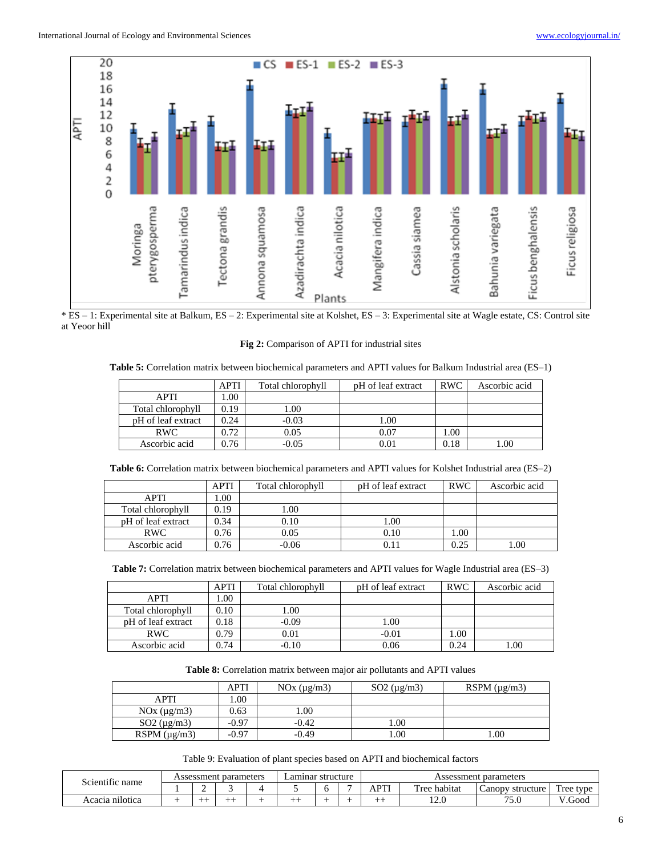

\* ES – 1: Experimental site at Balkum, ES – 2: Experimental site at Kolshet, ES – 3: Experimental site at Wagle estate, CS: Control site at Yeoor hill

#### **Fig 2:** Comparison of APTI for industrial sites

**Table 5:** Correlation matrix between biochemical parameters and APTI values for Balkum Industrial area (ES–1)

|                    | <b>APTI</b> | Total chlorophyll | pH of leaf extract | <b>RWC</b> | Ascorbic acid |
|--------------------|-------------|-------------------|--------------------|------------|---------------|
| APTI               | .00.        |                   |                    |            |               |
| Total chlorophyll  | 0.19        | 1.00              |                    |            |               |
| pH of leaf extract | 0.24        | $-0.03$           | 00.1               |            |               |
| <b>RWC</b>         | 0.72        | 0.05              | 0.07               | 1.00       |               |
| Ascorbic acid      | 0.76        | $-0.05$           | 0.01               | 0.18       | 1.00          |

**Table 6:** Correlation matrix between biochemical parameters and APTI values for Kolshet Industrial area (ES–2)

|                    | <b>APTI</b> | Total chlorophyll | pH of leaf extract | <b>RWC</b> | Ascorbic acid |
|--------------------|-------------|-------------------|--------------------|------------|---------------|
| APTI               | .00         |                   |                    |            |               |
| Total chlorophyll  | 0.19        | 1.00              |                    |            |               |
| pH of leaf extract | 0.34        | 0.10              | 1.00               |            |               |
| <b>RWC</b>         | 0.76        | 0.05              | 0.10               | 1.00       |               |
| Ascorbic acid      | 0.76        | $-0.06$           |                    | 0.25       | 1.00          |

**Table 7:** Correlation matrix between biochemical parameters and APTI values for Wagle Industrial area (ES–3)

|                    | <b>APTI</b> | Total chlorophyll | pH of leaf extract | <b>RWC</b> | Ascorbic acid |
|--------------------|-------------|-------------------|--------------------|------------|---------------|
| <b>APTI</b>        | .00.        |                   |                    |            |               |
| Total chlorophyll  | 0.10        | 1.00              |                    |            |               |
| pH of leaf extract | 0.18        | $-0.09$           | 1.00               |            |               |
| <b>RWC</b>         | 0.79        | 0.01              | $-0.01$            | 1.00       |               |
| Ascorbic acid      | 0.74        | -0.10             | 0.06               | 0.24       | 1.00          |

**Table 8:** Correlation matrix between major air pollutants and APTI values

|                       | APTI    | NOx (µg/m3) | $SO2 \text{ (µg/m3)}$ | RSPM $(\mu$ g/m3) |
|-----------------------|---------|-------------|-----------------------|-------------------|
| APTI                  | .00     |             |                       |                   |
| NOx (µg/m3)           | 0.63    | .00         |                       |                   |
| $SO2 \text{ (µg/m3)}$ | $-0.97$ | $-0.42$     | .00.                  |                   |
| RSPM $(\mu g/m3)$     | $-0.97$ | $-0.49$     | 00.1                  | 00.1              |

Table 9: Evaluation of plant species based on APTI and biochemical factors

| $\cdot$ $\sim$  |  | Assessment parameters | Lamınar structure |  |  | parameters<br>Assessment |              |                                  |                       |  |
|-----------------|--|-----------------------|-------------------|--|--|--------------------------|--------------|----------------------------------|-----------------------|--|
| Scientific name |  |                       |                   |  |  | APTI                     | Tree habitat | structure<br>$\mathcal{L}$ anopy | Tree type             |  |
| Acacia nilotica |  |                       | --                |  |  | --                       | 12.0         | 75.0                             | $\mathbf{H}$<br>.Good |  |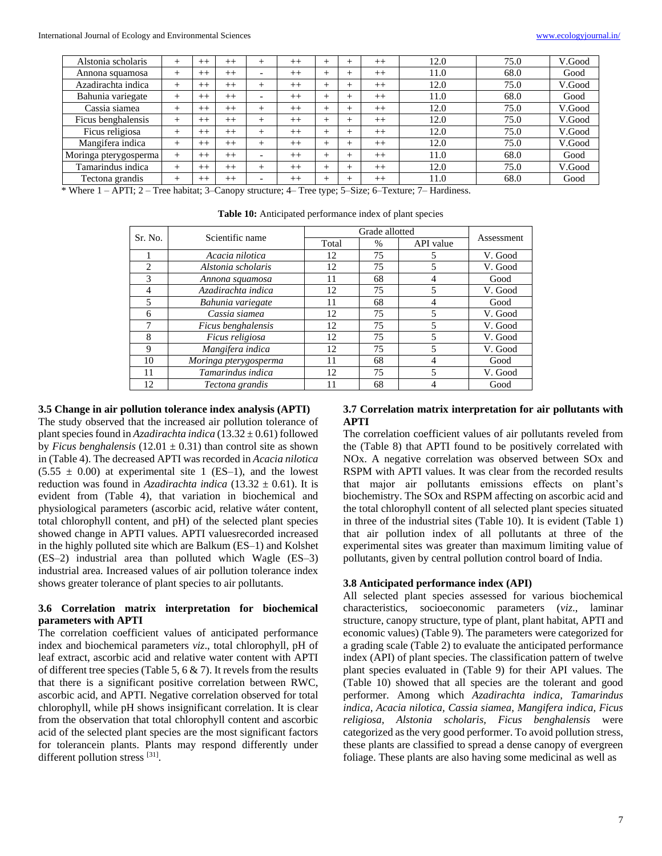| Alstonia scholaris    | +      | $^{++}$ | $^{++}$ |                          | $^{++}$ | $^+$   |       | $^{++}$ | 12.0 | 75.0 | V.Good |
|-----------------------|--------|---------|---------|--------------------------|---------|--------|-------|---------|------|------|--------|
| Annona squamosa       | +      | $^{++}$ | $^{++}$ | $\overline{\phantom{0}}$ | $^{++}$ |        |       | $^{++}$ | 11.0 | 68.0 | Good   |
| Azadirachta indica    | +      | $^{++}$ | $^{++}$ |                          | $^{++}$ | $^+$   |       | $^{++}$ | 12.0 | 75.0 | V.Good |
| Bahunia variegate     | $^+$   | $^{++}$ | $++$    | -                        | $++$    | $^{+}$ | $\pm$ | $^{++}$ | 11.0 | 68.0 | Good   |
| Cassia siamea         | $^+$   | $^{++}$ | $^{++}$ | +                        | $^{++}$ | $^+$   | $\pm$ | $^{++}$ | 12.0 | 75.0 | V.Good |
| Ficus benghalensis    | $^+$   | $^{++}$ | $^{++}$ |                          | $^{++}$ |        | ┶     | $^{++}$ | 12.0 | 75.0 | V.Good |
| Ficus religiosa       | $^+$   | $^{++}$ | $++$    |                          | $^{++}$ | +      | ┶     | $^{++}$ | 12.0 | 75.0 | V.Good |
| Mangifera indica      | $^+$   | $^{++}$ | $^{++}$ |                          | $^{++}$ | $\pm$  | ┶     | $^{++}$ | 12.0 | 75.0 | V.Good |
| Moringa pterygosperma | $^{+}$ | $^{++}$ | $++$    | -                        | $^{++}$ | $^{+}$ | $\pm$ | $^{++}$ | 11.0 | 68.0 | Good   |
| Tamarindus indica     | $^+$   | $^{++}$ | $++$    | +                        | $^{++}$ | $^{+}$ | $\pm$ | $^{++}$ | 12.0 | 75.0 | V.Good |
| Tectona grandis       | +      | $^{++}$ | $^{++}$ | $\overline{\phantom{0}}$ | $^{++}$ |        |       | $^{++}$ | 11.0 | 68.0 | Good   |

\* Where 1 – APTI; 2 – Tree habitat; 3–Canopy structure; 4– Tree type; 5–Size; 6–Texture; 7– Hardiness.

| Sr. No.        | Scientific name       | Grade allotted |      |           |            |
|----------------|-----------------------|----------------|------|-----------|------------|
|                |                       | Total          | $\%$ | API value | Assessment |
|                | Acacia nilotica       | 12             | 75   | 5         | V. Good    |
| $\mathfrak{D}$ | Alstonia scholaris    | 12             | 75   | 5         | V. Good    |
| 3              | Annona squamosa       | 11             | 68   | 4         | Good       |
| 4              | Azadirachta indica    | 12             | 75   | 5         | V. Good    |
|                | Bahunia variegate     | 11             | 68   | 4         | Good       |
| 6              | Cassia siamea         | 12             | 75   | 5         | V. Good    |
| 7              | Ficus benghalensis    | 12             | 75   | 5         | V. Good    |
| 8              | Ficus religiosa       | 12             | 75   | 5         | V. Good    |
| 9              | Mangifera indica      | 12             | 75   | 5         | V. Good    |
| 10             | Moringa pterygosperma | 11             | 68   | 4         | Good       |
| 11             | Tamarindus indica     | 12             | 75   | 5         | V. Good    |
| 12             | Tectona grandis       |                | 68   |           | Good       |

**Table 10:** Anticipated performance index of plant species

## **3.5 Change in air pollution tolerance index analysis (APTI)**

The study observed that the increased air pollution tolerance of plant species found in *Azadirachta indica* (13.32 ± 0.61) followed by *Ficus benghalensis*  $(12.01 \pm 0.31)$  than control site as shown in (Table 4). The decreased APTI was recorded in *Acacia nilotica*  $(5.55 \pm 0.00)$  at experimental site 1 (ES–1), and the lowest reduction was found in *Azadirachta indica* (13.32  $\pm$  0.61). It is evident from (Table 4), that variation in biochemical and physiological parameters (ascorbic acid, relative wáter content, total chlorophyll content, and pH) of the selected plant species showed change in APTI values. APTI valuesrecorded increased in the highly polluted site which are Balkum (ES–1) and Kolshet (ES–2) industrial area than polluted which Wagle (ES–3) industrial area. Increased values of air pollution tolerance index shows greater tolerance of plant species to air pollutants.

## **3.6 Correlation matrix interpretation for biochemical parameters with APTI**

The correlation coefficient values of anticipated performance index and biochemical parameters *viz*., total chlorophyll, pH of leaf extract, ascorbic acid and relative water content with APTI of different tree species (Table 5, 6  $\&$  7). It revels from the results that there is a significant positive correlation between RWC, ascorbic acid, and APTI. Negative correlation observed for total chlorophyll, while pH shows insignificant correlation. It is clear from the observation that total chlorophyll content and ascorbic acid of the selected plant species are the most significant factors for tolerancein plants. Plants may respond differently under different pollution stress [31].

## **3.7 Correlation matrix interpretation for air pollutants with APTI**

The correlation coefficient values of air pollutants reveled from the (Table 8) that APTI found to be positively correlated with NOx. A negative correlation was observed between SOx and RSPM with APTI values. It was clear from the recorded results that major air pollutants emissions effects on plant's biochemistry. The SOx and RSPM affecting on ascorbic acid and the total chlorophyll content of all selected plant species situated in three of the industrial sites (Table 10). It is evident (Table 1) that air pollution index of all pollutants at three of the experimental sites was greater than maximum limiting value of pollutants, given by central pollution control board of India.

#### **3.8 Anticipated performance index (API)**

All selected plant species assessed for various biochemical characteristics, socioeconomic parameters (*viz*., laminar structure, canopy structure, type of plant, plant habitat, APTI and economic values) (Table 9). The parameters were categorized for a grading scale (Table 2) to evaluate the anticipated performance index (API) of plant species. The classification pattern of twelve plant species evaluated in (Table 9) for their API values. The (Table 10) showed that all species are the tolerant and good performer. Among which *Azadirachta indica, Tamarindus indica, Acacia nilotica, Cassia siamea, Mangifera indica, Ficus religiosa, Alstonia scholaris, Ficus benghalensis* were categorized as the very good performer. To avoid pollution stress, these plants are classified to spread a dense canopy of evergreen foliage. These plants are also having some medicinal as well as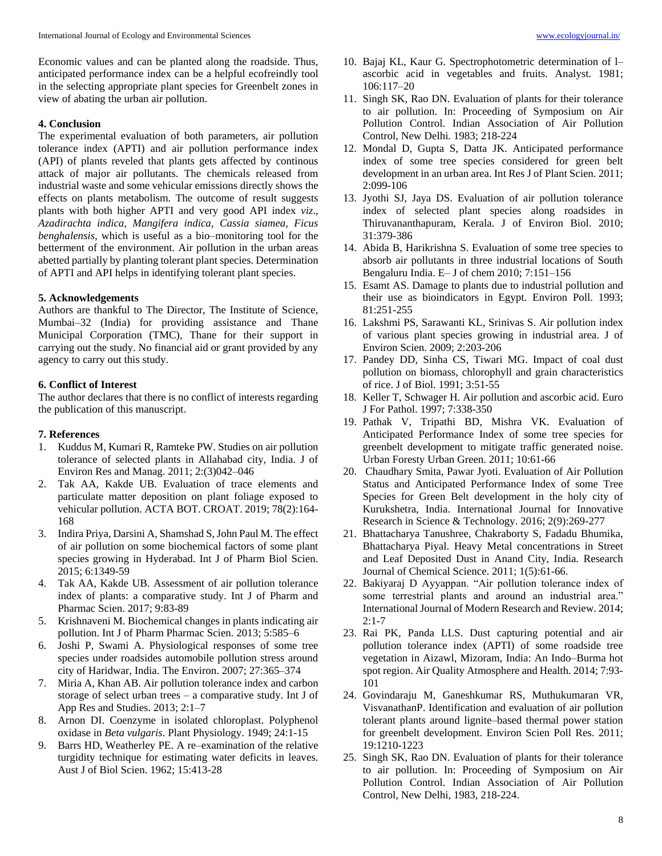## **4. Conclusion**

The experimental evaluation of both parameters, air pollution tolerance index (APTI) and air pollution performance index (API) of plants reveled that plants gets affected by continous attack of major air pollutants. The chemicals released from industrial waste and some vehicular emissions directly shows the effects on plants metabolism. The outcome of result suggests plants with both higher APTI and very good API index *viz*., *Azadirachta indica, Mangifera indica, Cassia siamea, Ficus benghalensis,* which is useful as a bio–monitoring tool for the betterment of the environment. Air pollution in the urban areas abetted partially by planting tolerant plant species. Determination of APTI and API helps in identifying tolerant plant species.

## **5. Acknowledgements**

Authors are thankful to The Director, The Institute of Science, Mumbai–32 (India) for providing assistance and Thane Municipal Corporation (TMC), Thane for their support in carrying out the study. No financial aid or grant provided by any agency to carry out this study.

## **6. Conflict of Interest**

The author declares that there is no conflict of interests regarding the publication of this manuscript.

## **7. References**

- 1. Kuddus M, Kumari R, Ramteke PW. Studies on air pollution tolerance of selected plants in Allahabad city, India. J of Environ Res and Manag. 2011; 2:(3)042–046
- 2. Tak AA, Kakde UB. Evaluation of trace elements and particulate matter deposition on plant foliage exposed to vehicular pollution. ACTA BOT. CROAT. 2019; 78(2):164- 168
- 3. Indira Priya, Darsini A, Shamshad S, John Paul M. The effect of air pollution on some biochemical factors of some plant species growing in Hyderabad. Int J of Pharm Biol Scien. 2015; 6:1349-59
- 4. Tak AA, Kakde UB. Assessment of air pollution tolerance index of plants: a comparative study. Int J of Pharm and Pharmac Scien. 2017; 9:83-89
- 5. Krishnaveni M. Biochemical changes in plants indicating air pollution. Int J of Pharm Pharmac Scien. 2013; 5:585–6
- 6. Joshi P, Swami A. Physiological responses of some tree species under roadsides automobile pollution stress around city of Haridwar, India. The Environ. 2007; 27:365–374
- 7. Miria A, Khan AB. Air pollution tolerance index and carbon storage of select urban trees  $-$  a comparative study. Int J of App Res and Studies. 2013; 2:1–7
- 8. Arnon DI. Coenzyme in isolated chloroplast. Polyphenol oxidase in *Beta vulgaris*. Plant Physiology. 1949; 24:1-15
- 9. Barrs HD, Weatherley PE. A re–examination of the relative turgidity technique for estimating water deficits in leaves. Aust J of Biol Scien. 1962; 15:413-28
- 10. Bajaj KL, Kaur G. Spectrophotometric determination of l– ascorbic acid in vegetables and fruits. Analyst. 1981; 106:117–20
- 11. Singh SK, Rao DN. Evaluation of plants for their tolerance to air pollution. In: Proceeding of Symposium on Air Pollution Control. Indian Association of Air Pollution Control, New Delhi*.* 1983; 218-224
- 12. Mondal D, Gupta S, Datta JK. Anticipated performance index of some tree species considered for green belt development in an urban area. Int Res J of Plant Scien. 2011; 2:099-106
- 13. Jyothi SJ, Jaya DS. Evaluation of air pollution tolerance index of selected plant species along roadsides in Thiruvananthapuram, Kerala. J of Environ Biol. 2010; 31:379-386
- 14. Abida B, Harikrishna S. Evaluation of some tree species to absorb air pollutants in three industrial locations of South Bengaluru India. E– J of chem 2010; 7:151–156
- 15. Esamt AS. Damage to plants due to industrial pollution and their use as bioindicators in Egypt. Environ Poll. 1993; 81:251-255
- 16. Lakshmi PS, Sarawanti KL, Srinivas S. Air pollution index of various plant species growing in industrial area. J of Environ Scien. 2009; 2:203-206
- 17. Pandey DD, Sinha CS, Tiwari MG. Impact of coal dust pollution on biomass, chlorophyll and grain characteristics of rice. J of Biol. 1991; 3:51-55
- 18. Keller T, Schwager H. Air pollution and ascorbic acid. Euro J For Pathol. 1997; 7:338-350
- 19. Pathak V, Tripathi BD, Mishra VK. Evaluation of Anticipated Performance Index of some tree species for greenbelt development to mitigate traffic generated noise. Urban Foresty Urban Green. 2011; 10:61-66
- 20. Chaudhary Smita, Pawar Jyoti. Evaluation of Air Pollution Status and Anticipated Performance Index of some Tree Species for Green Belt development in the holy city of Kurukshetra, India. International Journal for Innovative Research in Science & Technology. 2016; 2(9):269-277
- 21. Bhattacharya Tanushree, Chakraborty S, Fadadu Bhumika, Bhattacharya Piyal. Heavy Metal concentrations in Street and Leaf Deposited Dust in Anand City, India. Research Journal of Chemical Science. 2011; 1(5):61-66.
- 22. Bakiyaraj D Ayyappan. "Air pollution tolerance index of some terrestrial plants and around an industrial area." International Journal of Modern Research and Review. 2014;  $2:1 - 7$
- 23. Rai PK, Panda LLS. Dust capturing potential and air pollution tolerance index (APTI) of some roadside tree vegetation in Aizawl, Mizoram, India: An Indo–Burma hot spot region. Air Quality Atmosphere and Health. 2014; 7:93- 101
- 24. Govindaraju M, Ganeshkumar RS, Muthukumaran VR, VisvanathanP. Identification and evaluation of air pollution tolerant plants around lignite–based thermal power station for greenbelt development. Environ Scien Poll Res. 2011; 19:1210-1223
- 25. Singh SK, Rao DN. Evaluation of plants for their tolerance to air pollution. In: Proceeding of Symposium on Air Pollution Control. Indian Association of Air Pollution Control, New Delhi, 1983, 218-224.